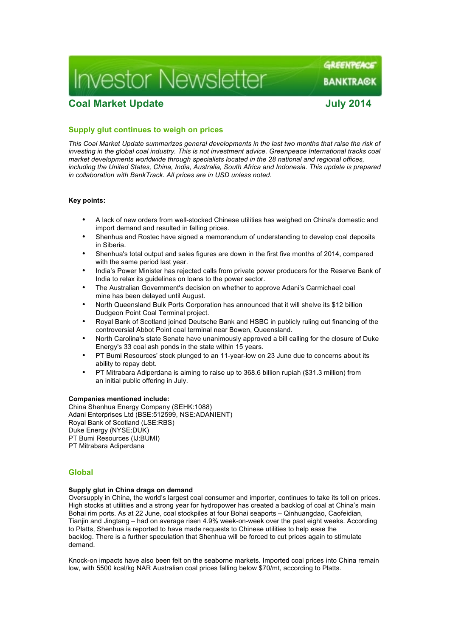# **Investor Newsletter**

## **Coal Market Update July 2014**

GREENPEACE

**BANKTRA©K** 

### **Supply glut continues to weigh on prices**

*This Coal Market Update summarizes general developments in the last two months that raise the risk of investing in the global coal industry. This is not investment advice. Greenpeace International tracks coal market developments worldwide through specialists located in the 28 national and regional offices, including the United States, China, India, Australia, South Africa and Indonesia. This update is prepared in collaboration with BankTrack. All prices are in USD unless noted.*

#### **Key points:**

- A lack of new orders from well-stocked Chinese utilities has weighed on China's domestic and import demand and resulted in falling prices.
- Shenhua and Rostec have signed a memorandum of understanding to develop coal deposits in Siberia.
- Shenhua's total output and sales figures are down in the first five months of 2014, compared with the same period last year.
- India's Power Minister has rejected calls from private power producers for the Reserve Bank of India to relax its guidelines on loans to the power sector.
- The Australian Government's decision on whether to approve Adani's Carmichael coal mine has been delayed until August.
- North Queensland Bulk Ports Corporation has announced that it will shelve its \$12 billion Dudgeon Point Coal Terminal project.
- Royal Bank of Scotland joined Deutsche Bank and HSBC in publicly ruling out financing of the controversial Abbot Point coal terminal near Bowen, Queensland.
- North Carolina's state Senate have unanimously approved a bill calling for the closure of Duke Energy's 33 coal ash ponds in the state within 15 years.
- PT Bumi Resources' stock plunged to an 11-year-low on 23 June due to concerns about its ability to repay debt.
- PT Mitrabara Adiperdana is aiming to raise up to 368.6 billion rupiah (\$31.3 million) from an initial public offering in July.

#### **Companies mentioned include:**

China Shenhua Energy Company (SEHK:1088) Adani Enterprises Ltd (BSE:512599, NSE:ADANIENT) Royal Bank of Scotland (LSE:RBS) Duke Energy (NYSE:DUK) PT Bumi Resources (IJ:BUMI) PT Mitrabara Adiperdana

#### **Global**

#### **Supply glut in China drags on demand**

Oversupply in China, the world's largest coal consumer and importer, continues to take its toll on prices. High stocks at utilities and a strong year for hydropower has created a backlog of coal at China's main Bohai rim ports. As at 22 June, coal stockpiles at four Bohai seaports – Qinhuangdao, Caofeidian, Tianjin and Jingtang – had on average risen 4.9% week-on-week over the past eight weeks. According to Platts, Shenhua is reported to have made requests to Chinese utilities to help ease the backlog. There is a further speculation that Shenhua will be forced to cut prices again to stimulate demand.

Knock-on impacts have also been felt on the seaborne markets. Imported coal prices into China remain low, with 5500 kcal/kg NAR Australian coal prices falling below \$70/mt, according to Platts.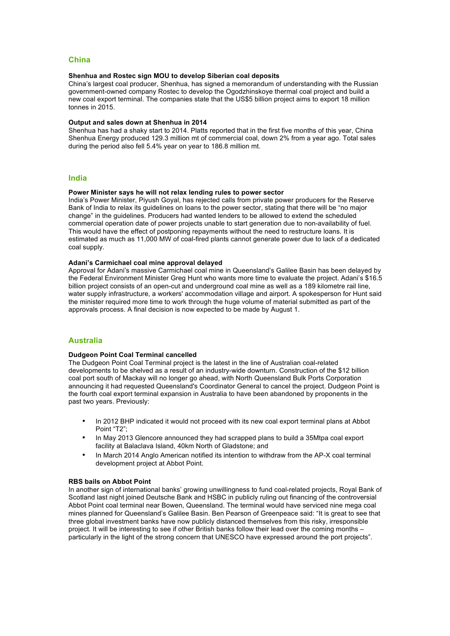#### **China**

#### **Shenhua and Rostec sign MOU to develop Siberian coal deposits**

China's largest coal producer, Shenhua, has signed a memorandum of understanding with the Russian government-owned company Rostec to develop the Ogodzhinskoye thermal coal project and build a new coal export terminal. The companies state that the US\$5 billion project aims to export 18 million tonnes in 2015.

#### **Output and sales down at Shenhua in 2014**

Shenhua has had a shaky start to 2014. Platts reported that in the first five months of this year, China Shenhua Energy produced 129.3 million mt of commercial coal, down 2% from a year ago. Total sales during the period also fell 5.4% year on year to 186.8 million mt.

#### **India**

#### **Power Minister says he will not relax lending rules to power sector**

India's Power Minister, Piyush Goyal, has rejected calls from private power producers for the Reserve Bank of India to relax its guidelines on loans to the power sector, stating that there will be "no major change" in the guidelines. Producers had wanted lenders to be allowed to extend the scheduled commercial operation date of power projects unable to start generation due to non-availability of fuel. This would have the effect of postponing repayments without the need to restructure loans. It is estimated as much as 11,000 MW of coal-fired plants cannot generate power due to lack of a dedicated coal supply.

#### **Adani's Carmichael coal mine approval delayed**

Approval for Adani's massive Carmichael coal mine in Queensland's Galilee Basin has been delayed by the Federal Environment Minister Greg Hunt who wants more time to evaluate the project. Adani's \$16.5 billion project consists of an open-cut and underground coal mine as well as a 189 kilometre rail line, water supply infrastructure, a workers' accommodation village and airport. A spokesperson for Hunt said the minister required more time to work through the huge volume of material submitted as part of the approvals process. A final decision is now expected to be made by August 1.

#### **Australia**

#### **Dudgeon Point Coal Terminal cancelled**

The Dudgeon Point Coal Terminal project is the latest in the line of Australian coal-related developments to be shelved as a result of an industry-wide downturn. Construction of the \$12 billion coal port south of Mackay will no longer go ahead, with North Queensland Bulk Ports Corporation announcing it had requested Queensland's Coordinator General to cancel the project. Dudgeon Point is the fourth coal export terminal expansion in Australia to have been abandoned by proponents in the past two years. Previously:

- In 2012 BHP indicated it would not proceed with its new coal export terminal plans at Abbot Point "T2";
- In May 2013 Glencore announced they had scrapped plans to build a 35Mtpa coal export facility at Balaclava Island, 40km North of Gladstone; and
- In March 2014 Anglo American notified its intention to withdraw from the AP-X coal terminal development project at Abbot Point.

#### **RBS bails on Abbot Point**

In another sign of international banks' growing unwillingness to fund coal-related projects, Royal Bank of Scotland last night joined Deutsche Bank and HSBC in publicly ruling out financing of the controversial Abbot Point coal terminal near Bowen, Queensland. The terminal would have serviced nine mega coal mines planned for Queensland's Galilee Basin. Ben Pearson of Greenpeace said: "It is great to see that three global investment banks have now publicly distanced themselves from this risky, irresponsible project. It will be interesting to see if other British banks follow their lead over the coming months – particularly in the light of the strong concern that UNESCO have expressed around the port projects".